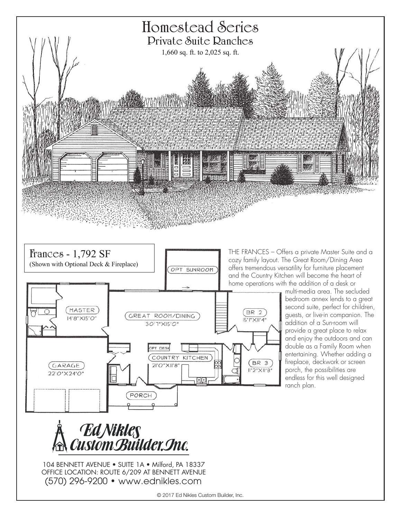